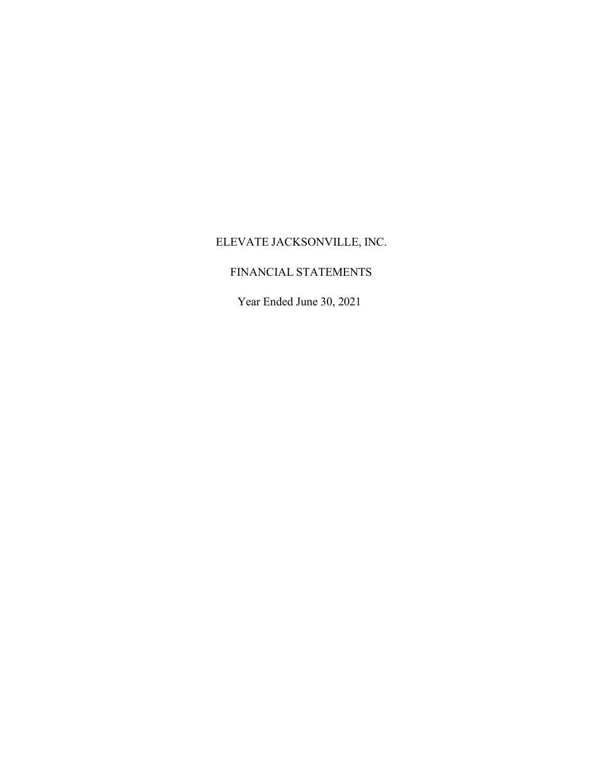## FINANCIAL STATEMENTS

Year Ended June 30, 2021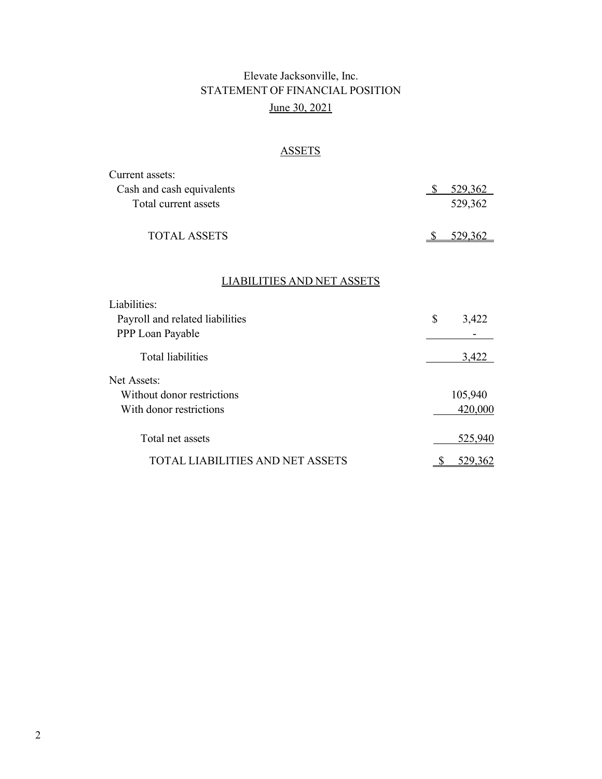# Elevate Jacksonville, Inc. STATEMENT OF FINANCIAL POSITION June 30, 2021

## ASSETS

| Current assets:                  |              |                |
|----------------------------------|--------------|----------------|
| Cash and cash equivalents        | \$           | 529,362        |
| Total current assets             |              | 529,362        |
| <b>TOTAL ASSETS</b>              | -S           | 529,362        |
| LIABILITIES AND NET ASSETS       |              |                |
| Liabilities:                     |              |                |
| Payroll and related liabilities  | \$           | 3,422          |
| PPP Loan Payable                 |              |                |
| <b>Total liabilities</b>         |              | 3,422          |
| <b>Net Assets:</b>               |              |                |
| Without donor restrictions       |              | 105,940        |
| With donor restrictions          |              | 420,000        |
| Total net assets                 |              | 525,940        |
| TOTAL LIABILITIES AND NET ASSETS | <sup>8</sup> | <u>529,362</u> |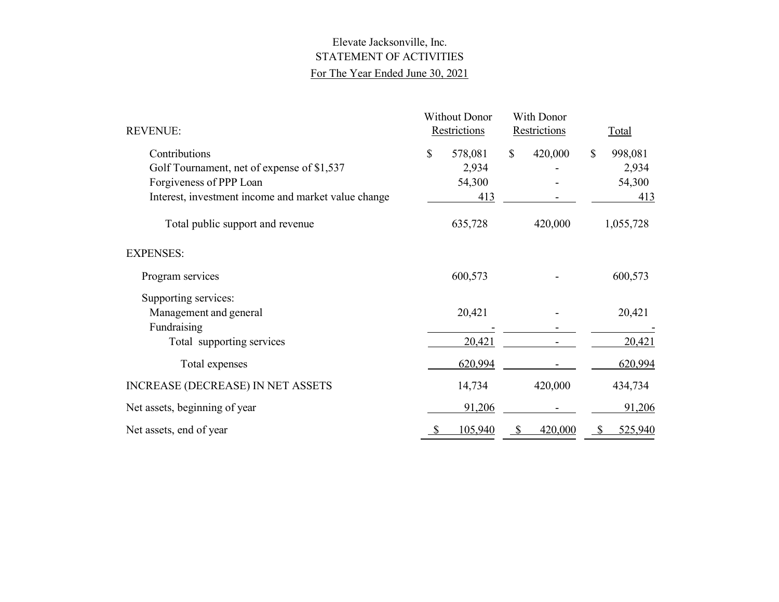## Elevate Jacksonville, Inc. STATEMENT OF ACTIVITIES For The Year Ended June 30, 2021

| <b>REVENUE:</b>                                     | <b>Without Donor</b><br>Restrictions |              | With Donor<br>Restrictions |              | Total     |
|-----------------------------------------------------|--------------------------------------|--------------|----------------------------|--------------|-----------|
| Contributions                                       | \$<br>578,081                        | \$           | 420,000                    | $\mathbb{S}$ | 998,081   |
| Golf Tournament, net of expense of \$1,537          | 2,934                                |              |                            |              | 2,934     |
| Forgiveness of PPP Loan                             | 54,300                               |              |                            |              | 54,300    |
| Interest, investment income and market value change | 413                                  |              |                            |              | 413       |
| Total public support and revenue                    | 635,728                              |              | 420,000                    |              | 1,055,728 |
| <b>EXPENSES:</b>                                    |                                      |              |                            |              |           |
| Program services                                    | 600,573                              |              |                            |              | 600,573   |
| Supporting services:                                |                                      |              |                            |              |           |
| Management and general                              | 20,421                               |              |                            |              | 20,421    |
| Fundraising                                         |                                      |              |                            |              |           |
| Total supporting services                           | 20,421                               |              |                            |              | 20,421    |
| Total expenses                                      | 620,994                              |              |                            |              | 620,994   |
| <b>INCREASE (DECREASE) IN NET ASSETS</b>            | 14,734                               |              | 420,000                    |              | 434,734   |
| Net assets, beginning of year                       | 91,206                               |              |                            |              | 91,206    |
| Net assets, end of year                             | 105,940                              | <sup>8</sup> | 420,000                    | S            | 525,940   |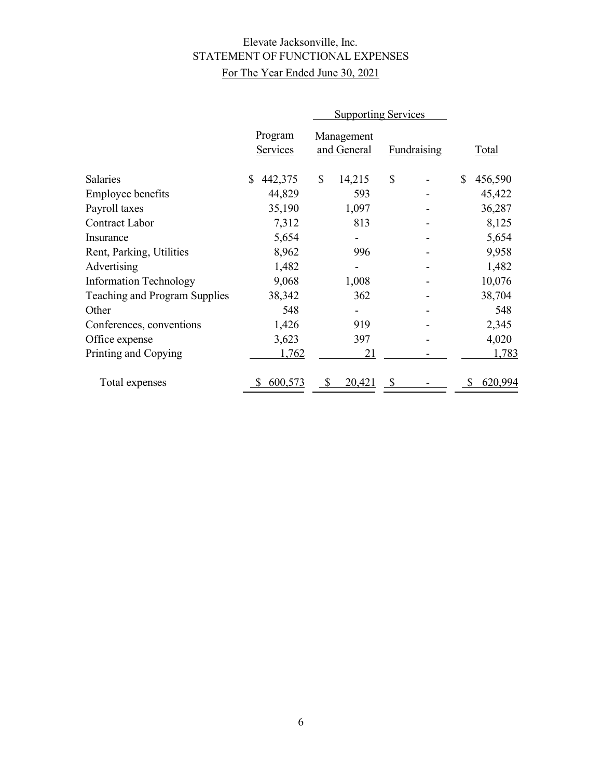# Elevate Jacksonville, Inc. STATEMENT OF FUNCTIONAL EXPENSES For The Year Ended June 30, 2021

|                                      | <b>Supporting Services</b> |                           |                    |               |
|--------------------------------------|----------------------------|---------------------------|--------------------|---------------|
|                                      | Program<br>Services        | Management<br>and General | <b>Fundraising</b> | <b>Total</b>  |
| Salaries                             | 442,375<br>\$              | \$<br>14,215              | \$                 | \$<br>456,590 |
| Employee benefits                    | 44,829                     | 593                       |                    | 45,422        |
| Payroll taxes                        | 35,190                     | 1,097                     |                    | 36,287        |
| Contract Labor                       | 7,312                      | 813                       |                    | 8,125         |
| Insurance                            | 5,654                      |                           |                    | 5,654         |
| Rent, Parking, Utilities             | 8,962                      | 996                       |                    | 9,958         |
| Advertising                          | 1,482                      |                           |                    | 1,482         |
| <b>Information Technology</b>        | 9,068                      | 1,008                     |                    | 10,076        |
| <b>Teaching and Program Supplies</b> | 38,342                     | 362                       |                    | 38,704        |
| Other                                | 548                        |                           |                    | 548           |
| Conferences, conventions             | 1,426                      | 919                       |                    | 2,345         |
| Office expense                       | 3,623                      | 397                       |                    | 4,020         |
| Printing and Copying                 | 1,762                      | 21                        |                    | 1,783         |
| Total expenses                       | 600,573                    | 20,421<br>S               | \$                 | 620,994       |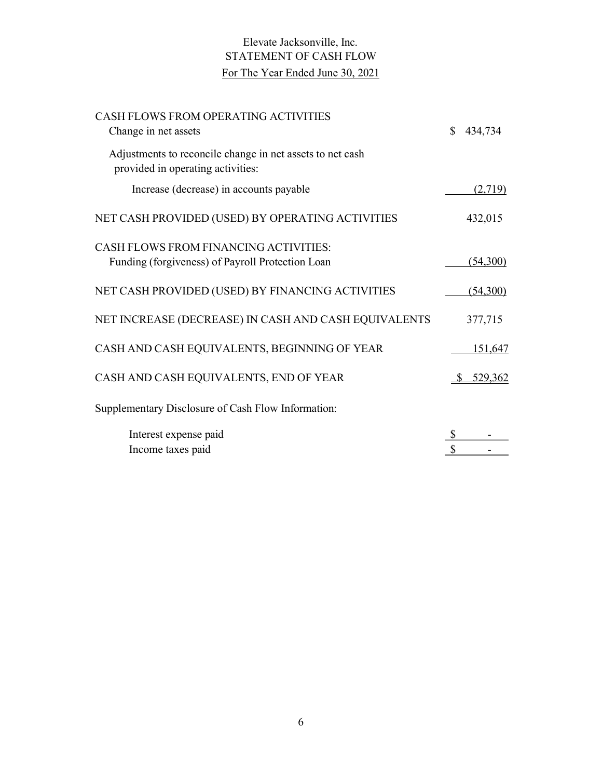# Elevate Jacksonville, Inc. STATEMENT OF CASH FLOW For The Year Ended June 30, 2021

| CASH FLOWS FROM OPERATING ACTIVITIES<br>Change in net assets                                     | 434,734  |
|--------------------------------------------------------------------------------------------------|----------|
| Adjustments to reconcile change in net assets to net cash<br>provided in operating activities:   |          |
| Increase (decrease) in accounts payable                                                          | (2,719)  |
| NET CASH PROVIDED (USED) BY OPERATING ACTIVITIES                                                 | 432,015  |
| <b>CASH FLOWS FROM FINANCING ACTIVITIES:</b><br>Funding (forgiveness) of Payroll Protection Loan | (54,300) |
| NET CASH PROVIDED (USED) BY FINANCING ACTIVITIES                                                 | (54,300) |
| NET INCREASE (DECREASE) IN CASH AND CASH EQUIVALENTS                                             | 377,715  |
| CASH AND CASH EQUIVALENTS, BEGINNING OF YEAR                                                     | 151,647  |
| CASH AND CASH EQUIVALENTS, END OF YEAR                                                           | 529,362  |
| Supplementary Disclosure of Cash Flow Information:                                               |          |
| Interest expense paid<br>Income taxes paid                                                       |          |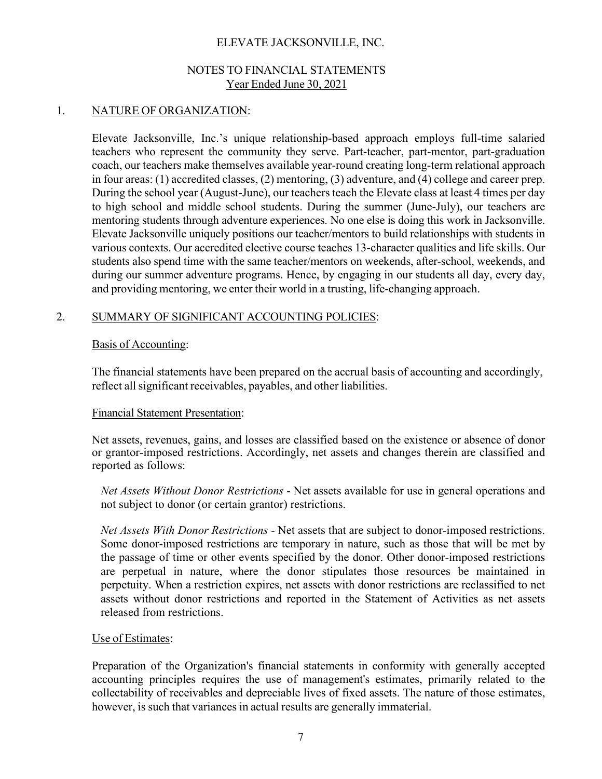## NOTES TO FINANCIAL STATEMENTS Year Ended June 30, 2021

## 1. NATURE OF ORGANIZATION:

Elevate Jacksonville, Inc.'s unique relationship-based approach employs full-time salaried teachers who represent the community they serve. Part-teacher, part-mentor, part-graduation coach, our teachers make themselves available year-round creating long-term relational approach in four areas: (1) accredited classes, (2) mentoring, (3) adventure, and (4) college and career prep. During the school year (August-June), our teachers teach the Elevate class at least 4 times per day to high school and middle school students. During the summer (June-July), our teachers are mentoring students through adventure experiences. No one else is doing this work in Jacksonville. Elevate Jacksonville uniquely positions our teacher/mentors to build relationships with students in various contexts. Our accredited elective course teaches 13-character qualities and life skills. Our students also spend time with the same teacher/mentors on weekends, after-school, weekends, and during our summer adventure programs. Hence, by engaging in our students all day, every day, and providing mentoring, we enter their world in a trusting, life-changing approach.

## 2. SUMMARY OF SIGNIFICANT ACCOUNTING POLICIES:

#### Basis of Accounting:

The financial statements have been prepared on the accrual basis of accounting and accordingly, reflect all significant receivables, payables, and other liabilities.

#### Financial Statement Presentation:

Net assets, revenues, gains, and losses are classified based on the existence or absence of donor or grantor-imposed restrictions. Accordingly, net assets and changes therein are classified and reported as follows:

*Net Assets Without Donor Restrictions* - Net assets available for use in general operations and not subject to donor (or certain grantor) restrictions.

*Net Assets With Donor Restrictions* - Net assets that are subject to donor-imposed restrictions. Some donor-imposed restrictions are temporary in nature, such as those that will be met by the passage of time or other events specified by the donor. Other donor-imposed restrictions are perpetual in nature, where the donor stipulates those resources be maintained in perpetuity. When a restriction expires, net assets with donor restrictions are reclassified to net assets without donor restrictions and reported in the Statement of Activities as net assets released from restrictions.

## Use of Estimates:

Preparation of the Organization's financial statements in conformity with generally accepted accounting principles requires the use of management's estimates, primarily related to the collectability of receivables and depreciable lives of fixed assets. The nature of those estimates, however, is such that variances in actual results are generally immaterial.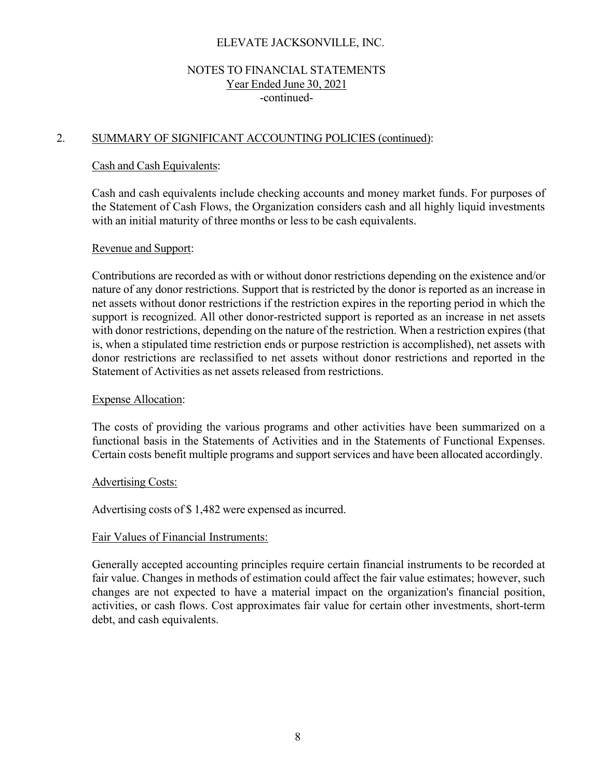## NOTES TO FINANCIAL STATEMENTS Year Ended June 30, 2021 -continued-

## 2. SUMMARY OF SIGNIFICANT ACCOUNTING POLICIES (continued):

#### Cash and Cash Equivalents:

Cash and cash equivalents include checking accounts and money market funds. For purposes of the Statement of Cash Flows, the Organization considers cash and all highly liquid investments with an initial maturity of three months or less to be cash equivalents.

#### Revenue and Support:

Contributions are recorded as with or without donor restrictions depending on the existence and/or nature of any donor restrictions. Support that is restricted by the donor is reported as an increase in net assets without donor restrictions if the restriction expires in the reporting period in which the support is recognized. All other donor-restricted support is reported as an increase in net assets with donor restrictions, depending on the nature of the restriction. When a restriction expires (that is, when a stipulated time restriction ends or purpose restriction is accomplished), net assets with donor restrictions are reclassified to net assets without donor restrictions and reported in the Statement of Activities as net assets released from restrictions.

#### Expense Allocation:

The costs of providing the various programs and other activities have been summarized on a functional basis in the Statements of Activities and in the Statements of Functional Expenses. Certain costs benefit multiple programs and support services and have been allocated accordingly.

#### Advertising Costs:

Advertising costs of \$1,482 were expensed as incurred.

#### Fair Values of Financial Instruments:

Generally accepted accounting principles require certain financial instruments to be recorded at fair value. Changes in methods of estimation could affect the fair value estimates; however, such changes are not expected to have a material impact on the organization's financial position, activities, or cash flows. Cost approximates fair value for certain other investments, short-term debt, and cash equivalents.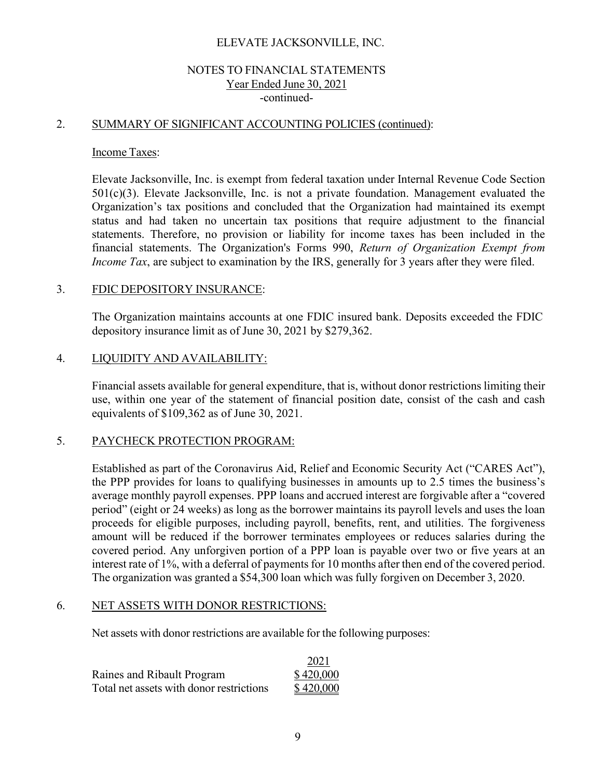## NOTES TO FINANCIAL STATEMENTS Year Ended June 30, 2021 -continued-

## 2. SUMMARY OF SIGNIFICANT ACCOUNTING POLICIES (continued):

#### Income Taxes:

Elevate Jacksonville, Inc. is exempt from federal taxation under Internal Revenue Code Section 501(c)(3). Elevate Jacksonville, Inc. is not a private foundation. Management evaluated the Organization's tax positions and concluded that the Organization had maintained its exempt status and had taken no uncertain tax positions that require adjustment to the financial statements. Therefore, no provision or liability for income taxes has been included in the financial statements. The Organization's Forms 990, *Return of Organization Exempt from Income Tax*, are subject to examination by the IRS, generally for 3 years after they were filed.

#### 3. FDIC DEPOSITORY INSURANCE:

The Organization maintains accounts at one FDIC insured bank. Deposits exceeded the FDIC depository insurance limit as of June 30, 2021 by \$279,362.

## 4. LIQUIDITY AND AVAILABILITY:

Financial assets available for general expenditure, that is, without donor restrictions limiting their use, within one year of the statement of financial position date, consist of the cash and cash equivalents of \$109,362 as of June 30, 2021.

#### 5. PAYCHECK PROTECTION PROGRAM:

Established as part of the Coronavirus Aid, Relief and Economic Security Act ("CARES Act"), the PPP provides for loans to qualifying businesses in amounts up to 2.5 times the business's average monthly payroll expenses. PPP loans and accrued interest are forgivable after a "covered period" (eight or 24 weeks) as long as the borrower maintains its payroll levels and uses the loan proceeds for eligible purposes, including payroll, benefits, rent, and utilities. The forgiveness amount will be reduced if the borrower terminates employees or reduces salaries during the covered period. Any unforgiven portion of a PPP loan is payable over two or five years at an interest rate of 1%, with a deferral of payments for 10 months after then end of the covered period. The organization was granted a \$54,300 loan which was fully forgiven on December 3, 2020.

#### 6. NET ASSETS WITH DONOR RESTRICTIONS:

Net assets with donor restrictions are available for the following purposes:

|                                          | 2021      |
|------------------------------------------|-----------|
| Raines and Ribault Program               | \$420,000 |
| Total net assets with donor restrictions | \$420,000 |